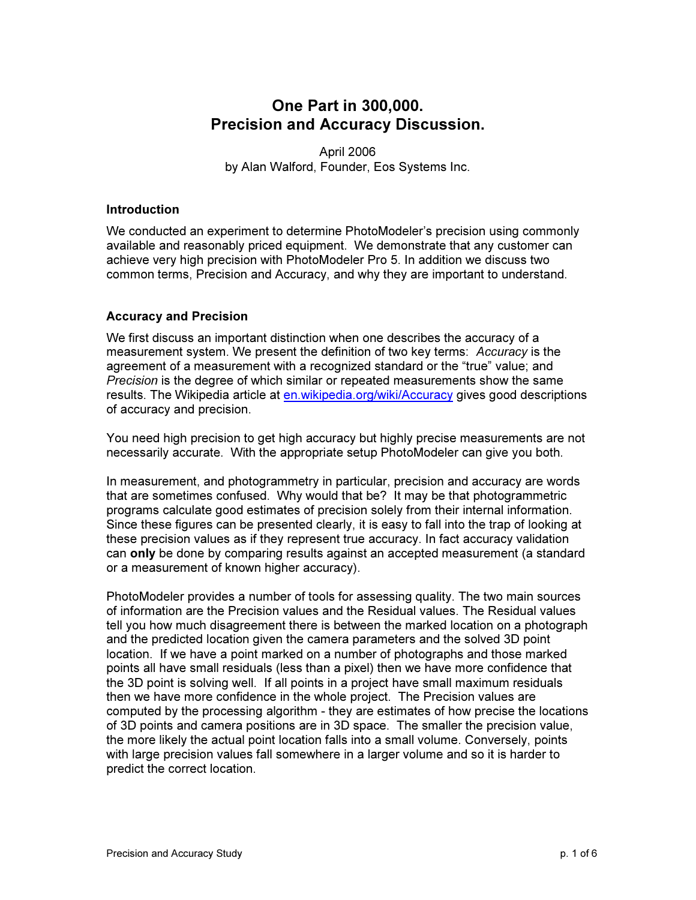# One Part in 300,000. Precision and Accuracy Discussion.

April 2006 by Alan Walford, Founder, Eos Systems Inc.

#### **Introduction**

We conducted an experiment to determine PhotoModeler's precision using commonly available and reasonably priced equipment. We demonstrate that any customer can achieve very high precision with PhotoModeler Pro 5. In addition we discuss two common terms, Precision and Accuracy, and why they are important to understand.

#### Accuracy and Precision

We first discuss an important distinction when one describes the accuracy of a measurement system. We present the definition of two key terms: Accuracy is the agreement of a measurement with a recognized standard or the "true" value; and Precision is the degree of which similar or repeated measurements show the same results. The Wikipedia article at en.wikipedia.org/wiki/Accuracy gives good descriptions of accuracy and precision.

You need high precision to get high accuracy but highly precise measurements are not necessarily accurate. With the appropriate setup PhotoModeler can give you both.

In measurement, and photogrammetry in particular, precision and accuracy are words that are sometimes confused. Why would that be? It may be that photogrammetric programs calculate good estimates of precision solely from their internal information. Since these figures can be presented clearly, it is easy to fall into the trap of looking at these precision values as if they represent true accuracy. In fact accuracy validation can only be done by comparing results against an accepted measurement (a standard or a measurement of known higher accuracy).

PhotoModeler provides a number of tools for assessing quality. The two main sources of information are the Precision values and the Residual values. The Residual values tell you how much disagreement there is between the marked location on a photograph and the predicted location given the camera parameters and the solved 3D point location. If we have a point marked on a number of photographs and those marked points all have small residuals (less than a pixel) then we have more confidence that the 3D point is solving well. If all points in a project have small maximum residuals then we have more confidence in the whole project. The Precision values are computed by the processing algorithm - they are estimates of how precise the locations of 3D points and camera positions are in 3D space. The smaller the precision value, the more likely the actual point location falls into a small volume. Conversely, points with large precision values fall somewhere in a larger volume and so it is harder to predict the correct location.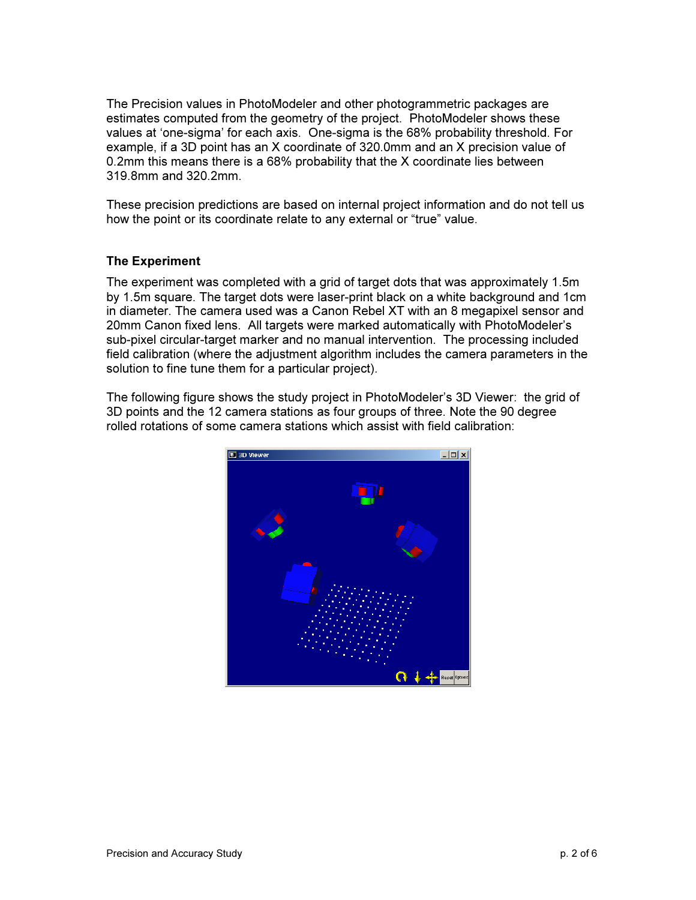The Precision values in PhotoModeler and other photogrammetric packages are estimates computed from the geometry of the project. PhotoModeler shows these values at 'one-sigma' for each axis. One-sigma is the 68% probability threshold. For example, if a 3D point has an X coordinate of 320.0mm and an X precision value of 0.2mm this means there is a 68% probability that the X coordinate lies between 319.8mm and 320.2mm.

These precision predictions are based on internal project information and do not tell us how the point or its coordinate relate to any external or "true" value.

## The Experiment

The experiment was completed with a grid of target dots that was approximately 1.5m by 1.5m square. The target dots were laser-print black on a white background and 1cm in diameter. The camera used was a Canon Rebel XT with an 8 megapixel sensor and 20mm Canon fixed lens. All targets were marked automatically with PhotoModeler's sub-pixel circular-target marker and no manual intervention. The processing included field calibration (where the adjustment algorithm includes the camera parameters in the solution to fine tune them for a particular project).

The following figure shows the study project in PhotoModeler's 3D Viewer: the grid of 3D points and the 12 camera stations as four groups of three. Note the 90 degree rolled rotations of some camera stations which assist with field calibration:

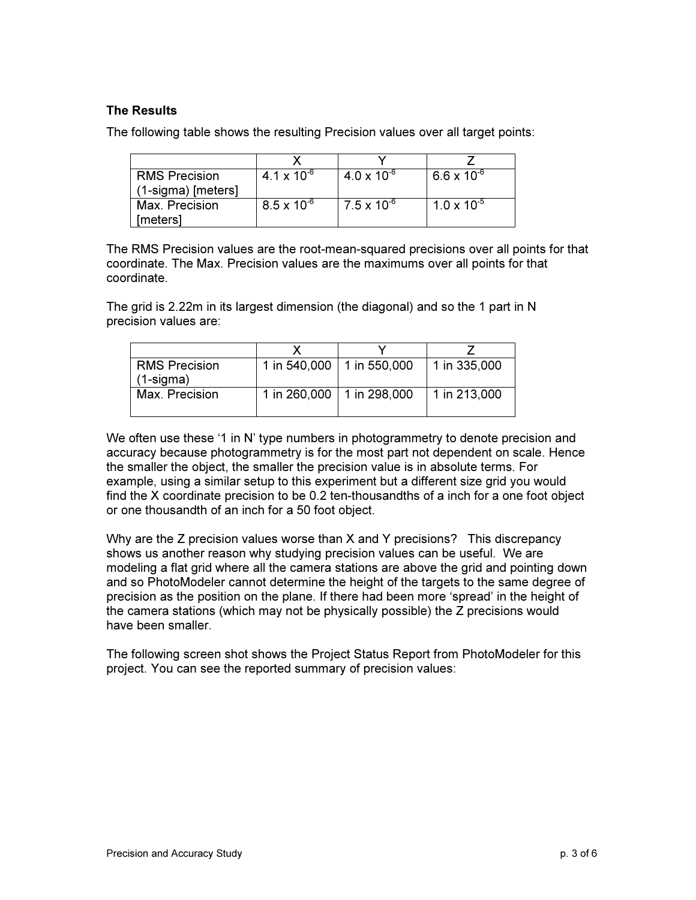# The Results

The following table shows the resulting Precision values over all target points:

| <b>RMS Precision</b> | 4.1 x 10 $^{-6}$     | $4.0 \times 10^{-6}$ | $6.6 \times 10^{-6}$ |
|----------------------|----------------------|----------------------|----------------------|
| $(1-sigma)$ [meters] |                      |                      |                      |
| Max. Precision       | $8.5 \times 10^{-6}$ | $7.5 \times 10^{-6}$ | $1.0 \times 10^{-5}$ |
| [meters]             |                      |                      |                      |

The RMS Precision values are the root-mean-squared precisions over all points for that coordinate. The Max. Precision values are the maximums over all points for that coordinate.

The grid is 2.22m in its largest dimension (the diagonal) and so the 1 part in N precision values are:

| <b>RMS Precision</b><br>(1-sigma) | 1 in 540,000   1 in 550,000 | 1 in $335,000$ |
|-----------------------------------|-----------------------------|----------------|
| Max. Precision                    | 1 in 260,000   1 in 298,000 | 1 in 213,000   |

We often use these '1 in N' type numbers in photogrammetry to denote precision and accuracy because photogrammetry is for the most part not dependent on scale. Hence the smaller the object, the smaller the precision value is in absolute terms. For example, using a similar setup to this experiment but a different size grid you would find the X coordinate precision to be 0.2 ten-thousandths of a inch for a one foot object or one thousandth of an inch for a 50 foot object.

Why are the Z precision values worse than X and Y precisions? This discrepancy shows us another reason why studying precision values can be useful. We are modeling a flat grid where all the camera stations are above the grid and pointing down and so PhotoModeler cannot determine the height of the targets to the same degree of precision as the position on the plane. If there had been more 'spread' in the height of the camera stations (which may not be physically possible) the Z precisions would have been smaller.

The following screen shot shows the Project Status Report from PhotoModeler for this project. You can see the reported summary of precision values: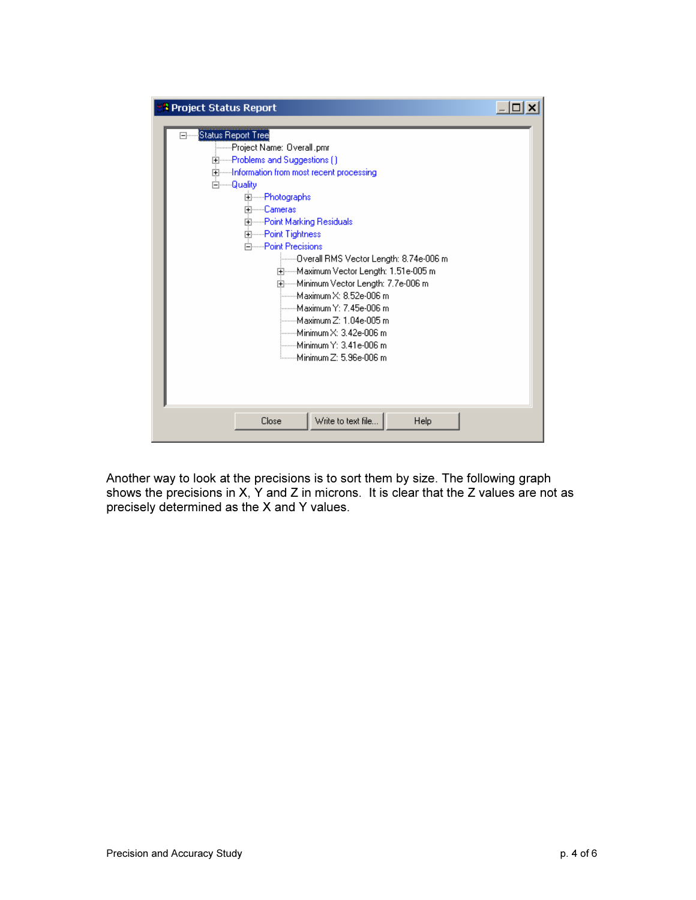| <b>:</b> Project Status Report |                                                                                                                                                                                                                                                                                        |                                                                                                                                                                                                                                                                                                                            |      |  |
|--------------------------------|----------------------------------------------------------------------------------------------------------------------------------------------------------------------------------------------------------------------------------------------------------------------------------------|----------------------------------------------------------------------------------------------------------------------------------------------------------------------------------------------------------------------------------------------------------------------------------------------------------------------------|------|--|
| ⊟…                             | Status Report Tree<br>├──Project Name: Overall.pmr<br>由------Problems and Suggestions ( )<br>⊡-----Information from most recent processing<br>⊟·······Quality<br>由……Photographs<br>中·······Cameras<br>由……Point Marking Residuals<br>由------Point Tightness<br>白·······Point Precisions | :-------Overall RMS Vector Length: 8.74e-006 m<br>⊡·······Maximum Vector Length: 1.51e-005 m.<br>国······Minimum Vector Length: 7.7e-006 m<br>i------Maximum X: 8.52e-006 m<br>└──Махіmum Ү: 7.45e-006 m<br>——Maximum Z: 1.04e-005 m<br>եաա Minimum X: 3.42e-006 m.<br>├── Minimum Y: 3.41e-006 m<br>Minimum Z: 5.96e-006 m |      |  |
|                                | Close                                                                                                                                                                                                                                                                                  | Write to text file                                                                                                                                                                                                                                                                                                         | Help |  |

Another way to look at the precisions is to sort them by size. The following graph shows the precisions in X, Y and Z in microns. It is clear that the Z values are not as precisely determined as the X and Y values.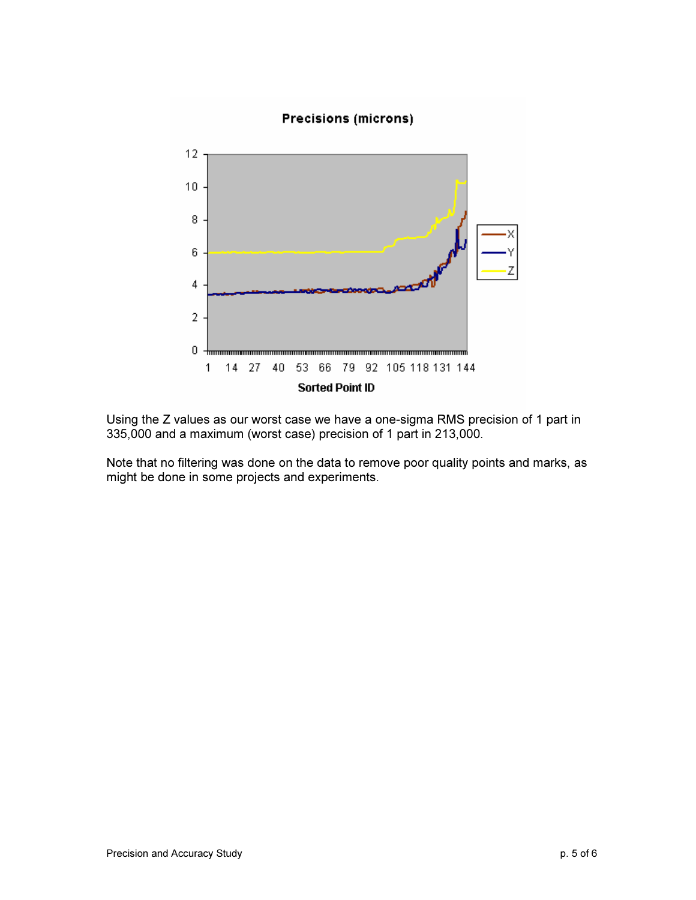

Using the Z values as our worst case we have a one-sigma RMS precision of 1 part in 335,000 and a maximum (worst case) precision of 1 part in 213,000.

Note that no filtering was done on the data to remove poor quality points and marks, as might be done in some projects and experiments.